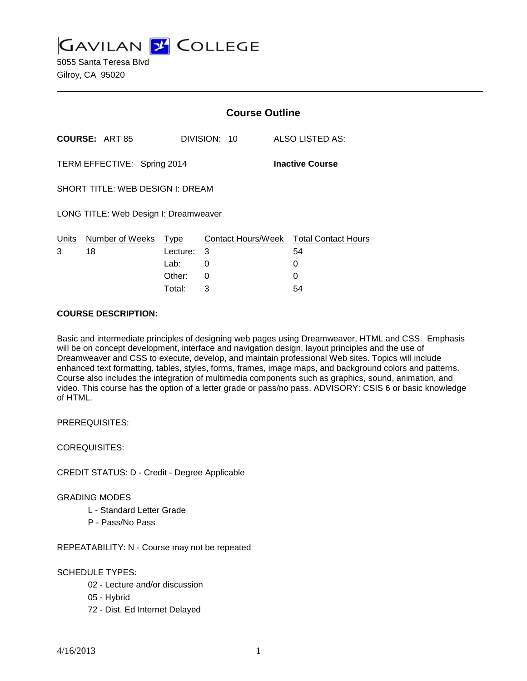**GAVILAN J' COLLEGE** 

5055 Santa Teresa Blvd Gilroy, CA 95020

|                                                       |                       |            | <b>Course Outline</b> |                                        |  |  |
|-------------------------------------------------------|-----------------------|------------|-----------------------|----------------------------------------|--|--|
|                                                       | <b>COURSE: ART 85</b> |            | DIVISION: 10          | ALSO LISTED AS:                        |  |  |
| TERM EFFECTIVE: Spring 2014<br><b>Inactive Course</b> |                       |            |                       |                                        |  |  |
| SHORT TITLE: WEB DESIGN I: DREAM                      |                       |            |                       |                                        |  |  |
| LONG TITLE: Web Design I: Dreamweaver                 |                       |            |                       |                                        |  |  |
| Units                                                 | Number of Weeks       | Type       |                       | Contact Hours/Week Total Contact Hours |  |  |
| 3                                                     | 18                    | Lecture: 3 |                       | 54                                     |  |  |
|                                                       |                       | Lab: __    | 0                     | 0                                      |  |  |
|                                                       |                       | Other:     | $\Omega$              | 0                                      |  |  |
|                                                       |                       | Total:     | 3                     | 54                                     |  |  |

### **COURSE DESCRIPTION:**

Basic and intermediate principles of designing web pages using Dreamweaver, HTML and CSS. Emphasis will be on concept development, interface and navigation design, layout principles and the use of Dreamweaver and CSS to execute, develop, and maintain professional Web sites. Topics will include enhanced text formatting, tables, styles, forms, frames, image maps, and background colors and patterns. Course also includes the integration of multimedia components such as graphics, sound, animation, and video. This course has the option of a letter grade or pass/no pass. ADVISORY: CSIS 6 or basic knowledge of HTML.

PREREQUISITES:

COREQUISITES:

CREDIT STATUS: D - Credit - Degree Applicable

GRADING MODES

- L Standard Letter Grade
- P Pass/No Pass

REPEATABILITY: N - Course may not be repeated

# SCHEDULE TYPES:

- 02 Lecture and/or discussion
- 05 Hybrid
- 72 Dist. Ed Internet Delayed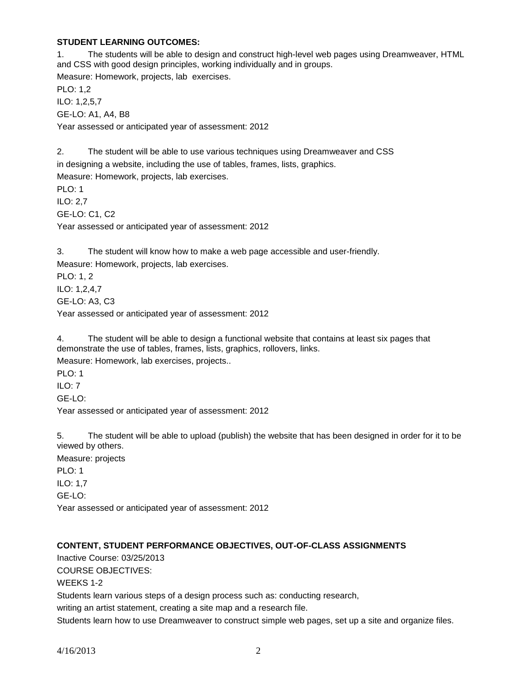### **STUDENT LEARNING OUTCOMES:**

1. The students will be able to design and construct high-level web pages using Dreamweaver, HTML and CSS with good design principles, working individually and in groups. Measure: Homework, projects, lab exercises. PLO: 1,2 ILO: 1,2,5,7 GE-LO: A1, A4, B8 Year assessed or anticipated year of assessment: 2012 2. The student will be able to use various techniques using Dreamweaver and CSS in designing a website, including the use of tables, frames, lists, graphics.

Measure: Homework, projects, lab exercises. PLO: 1 ILO: 2,7 GE-LO: C1, C2 Year assessed or anticipated year of assessment: 2012

3. The student will know how to make a web page accessible and user-friendly. Measure: Homework, projects, lab exercises.

PLO: 1, 2 ILO: 1,2,4,7

GE-LO: A3, C3

Year assessed or anticipated year of assessment: 2012

4. The student will be able to design a functional website that contains at least six pages that demonstrate the use of tables, frames, lists, graphics, rollovers, links.

Measure: Homework, lab exercises, projects..

PLO: 1  $II$  O: 7

GE-LO:

Year assessed or anticipated year of assessment: 2012

5. The student will be able to upload (publish) the website that has been designed in order for it to be viewed by others.

Measure: projects PLO: 1 ILO: 1,7 GE-LO: Year assessed or anticipated year of assessment: 2012

# **CONTENT, STUDENT PERFORMANCE OBJECTIVES, OUT-OF-CLASS ASSIGNMENTS**

Inactive Course: 03/25/2013 COURSE OBJECTIVES: WEEKS 1-2 Students learn various steps of a design process such as: conducting research, writing an artist statement, creating a site map and a research file. Students learn how to use Dreamweaver to construct simple web pages, set up a site and organize files.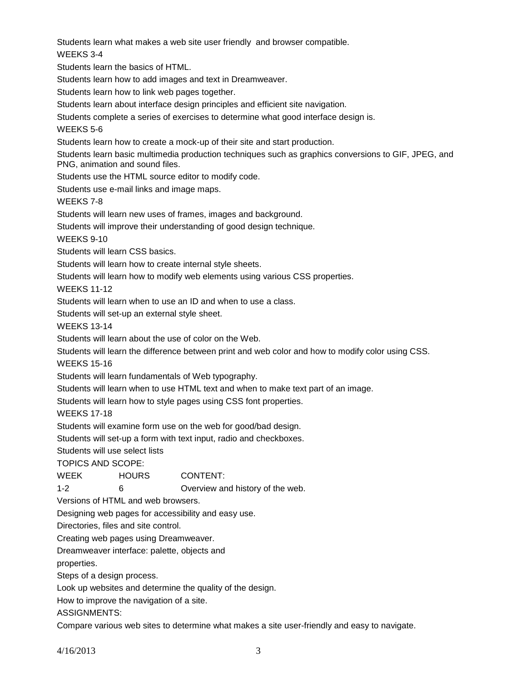Students learn what makes a web site user friendly and browser compatible. WEEKS 3-4

Students learn the basics of HTML.

Students learn how to add images and text in Dreamweaver.

Students learn how to link web pages together.

Students learn about interface design principles and efficient site navigation.

Students complete a series of exercises to determine what good interface design is.

#### WEEKS 5-6

Students learn how to create a mock-up of their site and start production.

Students learn basic multimedia production techniques such as graphics conversions to GIF, JPEG, and PNG, animation and sound files.

Students use the HTML source editor to modify code.

Students use e-mail links and image maps.

WEEKS 7-8

Students will learn new uses of frames, images and background.

Students will improve their understanding of good design technique.

WEEKS 9-10

Students will learn CSS basics.

Students will learn how to create internal style sheets.

Students will learn how to modify web elements using various CSS properties.

WEEKS 11-12

Students will learn when to use an ID and when to use a class.

Students will set-up an external style sheet.

WEEKS 13-14

Students will learn about the use of color on the Web.

Students will learn the difference between print and web color and how to modify color using CSS.

WEEKS 15-16

Students will learn fundamentals of Web typography.

Students will learn when to use HTML text and when to make text part of an image.

Students will learn how to style pages using CSS font properties.

WEEKS 17-18

Students will examine form use on the web for good/bad design.

Students will set-up a form with text input, radio and checkboxes.

Students will use select lists

TOPICS AND SCOPE:

WEEK HOURS CONTENT: 1-2 6 Overview and history of the web.

Versions of HTML and web browsers.

Designing web pages for accessibility and easy use.

Directories, files and site control.

Creating web pages using Dreamweaver.

Dreamweaver interface: palette, objects and

properties.

Steps of a design process.

Look up websites and determine the quality of the design.

How to improve the navigation of a site.

ASSIGNMENTS:

Compare various web sites to determine what makes a site user-friendly and easy to navigate.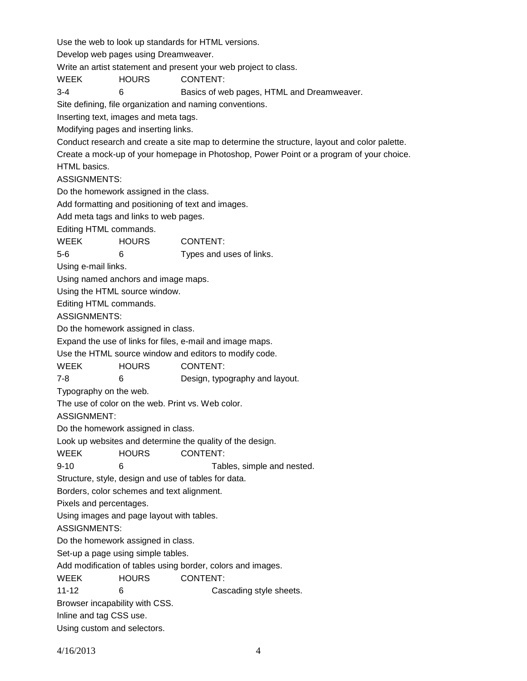Use the web to look up standards for HTML versions. Develop web pages using Dreamweaver. Write an artist statement and present your web project to class. WEEK HOURS CONTENT: 3-4 6 Basics of web pages, HTML and Dreamweaver. Site defining, file organization and naming conventions. Inserting text, images and meta tags. Modifying pages and inserting links. Conduct research and create a site map to determine the structure, layout and color palette. Create a mock-up of your homepage in Photoshop, Power Point or a program of your choice. HTML basics. ASSIGNMENTS: Do the homework assigned in the class. Add formatting and positioning of text and images. Add meta tags and links to web pages. Editing HTML commands. WEEK HOURS CONTENT: 5-6 6 Types and uses of links. Using e-mail links. Using named anchors and image maps. Using the HTML source window. Editing HTML commands. ASSIGNMENTS: Do the homework assigned in class. Expand the use of links for files, e-mail and image maps. Use the HTML source window and editors to modify code. WEEK HOURS CONTENT: 7-8 6 Design, typography and layout. Typography on the web. The use of color on the web. Print vs. Web color. ASSIGNMENT: Do the homework assigned in class. Look up websites and determine the quality of the design. WEEK HOURS CONTENT: 9-10 6 Tables, simple and nested. Structure, style, design and use of tables for data. Borders, color schemes and text alignment. Pixels and percentages. Using images and page layout with tables. ASSIGNMENTS: Do the homework assigned in class. Set-up a page using simple tables. Add modification of tables using border, colors and images. WEEK HOURS CONTENT: 11-12 6 6 Cascading style sheets. Browser incapability with CSS. Inline and tag CSS use. Using custom and selectors.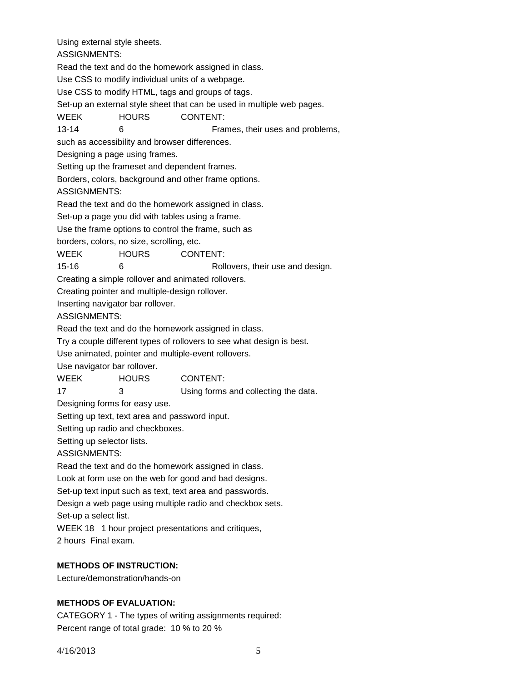Using external style sheets.

ASSIGNMENTS:

Read the text and do the homework assigned in class.

Use CSS to modify individual units of a webpage.

Use CSS to modify HTML, tags and groups of tags.

Set-up an external style sheet that can be used in multiple web pages.

WEEK HOURS CONTENT:

13-14 6 Frames, their uses and problems,

such as accessibility and browser differences.

Designing a page using frames.

Setting up the frameset and dependent frames.

Borders, colors, background and other frame options.

ASSIGNMENTS:

Read the text and do the homework assigned in class.

Set-up a page you did with tables using a frame.

Use the frame options to control the frame, such as

borders, colors, no size, scrolling, etc.

WEEK HOURS CONTENT:

15-16 6 Rollovers, their use and design.

Creating a simple rollover and animated rollovers.

Creating pointer and multiple-design rollover.

Inserting navigator bar rollover.

ASSIGNMENTS:

Read the text and do the homework assigned in class.

Try a couple different types of rollovers to see what design is best.

Use animated, pointer and multiple-event rollovers.

Use navigator bar rollover.

| <b>WEEK</b> | <b>HOURS</b> | CONTENT:                             |
|-------------|--------------|--------------------------------------|
| 17          |              | Using forms and collecting the data. |

Designing forms for easy use.

Setting up text, text area and password input.

Setting up radio and checkboxes.

Setting up selector lists.

ASSIGNMENTS:

Read the text and do the homework assigned in class.

Look at form use on the web for good and bad designs.

Set-up text input such as text, text area and passwords.

Design a web page using multiple radio and checkbox sets.

Set-up a select list.

WEEK 18 1 hour project presentations and critiques,

2 hours Final exam.

# **METHODS OF INSTRUCTION:**

Lecture/demonstration/hands-on

# **METHODS OF EVALUATION:**

CATEGORY 1 - The types of writing assignments required: Percent range of total grade: 10 % to 20 %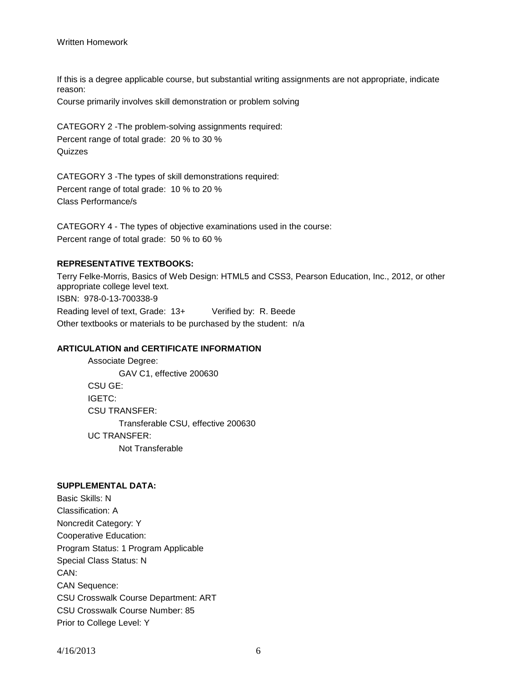### Written Homework

If this is a degree applicable course, but substantial writing assignments are not appropriate, indicate reason:

Course primarily involves skill demonstration or problem solving

CATEGORY 2 -The problem-solving assignments required: Percent range of total grade: 20 % to 30 % **Quizzes** 

CATEGORY 3 -The types of skill demonstrations required: Percent range of total grade: 10 % to 20 % Class Performance/s

CATEGORY 4 - The types of objective examinations used in the course: Percent range of total grade: 50 % to 60 %

# **REPRESENTATIVE TEXTBOOKS:**

Terry Felke-Morris, Basics of Web Design: HTML5 and CSS3, Pearson Education, Inc., 2012, or other appropriate college level text. ISBN: 978-0-13-700338-9 Reading level of text, Grade: 13+ Verified by: R. Beede Other textbooks or materials to be purchased by the student: n/a

# **ARTICULATION and CERTIFICATE INFORMATION**

Associate Degree: GAV C1, effective 200630 CSU GE: IGETC: CSU TRANSFER: Transferable CSU, effective 200630 UC TRANSFER: Not Transferable

#### **SUPPLEMENTAL DATA:**

Basic Skills: N Classification: A Noncredit Category: Y Cooperative Education: Program Status: 1 Program Applicable Special Class Status: N CAN: CAN Sequence: CSU Crosswalk Course Department: ART CSU Crosswalk Course Number: 85 Prior to College Level: Y